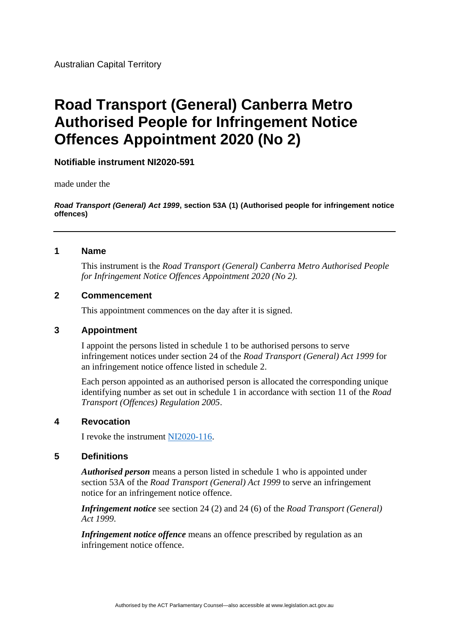Australian Capital Territory

# **Road Transport (General) Canberra Metro Authorised People for Infringement Notice Offences Appointment 2020 (No 2)**

# **Notifiable instrument NI2020-591**

made under the

*Road Transport (General) Act 1999***, section 53A (1) (Authorised people for infringement notice offences)**

### **1 Name**

This instrument is the *Road Transport (General) Canberra Metro Authorised People for Infringement Notice Offences Appointment 2020 (No 2).*

### **2 Commencement**

This appointment commences on the day after it is signed.

## **3 Appointment**

I appoint the persons listed in schedule 1 to be authorised persons to serve infringement notices under section 24 of the *Road Transport (General) Act 1999* for an infringement notice offence listed in schedule 2.

Each person appointed as an authorised person is allocated the corresponding unique identifying number as set out in schedule 1 in accordance with section 11 of the *Road Transport (Offences) Regulation 2005*.

#### **4 Revocation**

I revoke the instrument [NI2020-116.](https://www.legislation.act.gov.au/ni/2020-116/)

### **5 Definitions**

*Authorised person* means a person listed in schedule 1 who is appointed under section 53A of the *Road Transport (General) Act 1999* to serve an infringement notice for an infringement notice offence.

*Infringement notice* see section 24 (2) and 24 (6) of the *Road Transport (General) Act 1999*.

*Infringement notice offence* means an offence prescribed by regulation as an infringement notice offence.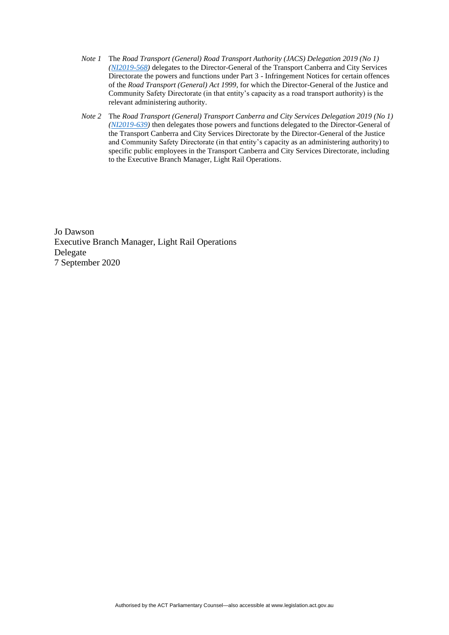- *Note 1* The *Road Transport (General) Road Transport Authority (JACS) Delegation 2019 (No 1) [\(NI2019-568\)](https://legislation.act.gov.au/ni/2019-568/)* delegates to the Director-General of the Transport Canberra and City Services Directorate the powers and functions under Part 3 - Infringement Notices for certain offences of the *Road Transport (General) Act 1999*, for which the Director-General of the Justice and Community Safety Directorate (in that entity's capacity as a road transport authority) is the relevant administering authority.
- *Note 2* The *Road Transport (General) Transport Canberra and City Services Delegation 2019 (No 1) [\(NI2019-639\)](https://legislation.act.gov.au/ni/2019-639/)* then delegates those powers and functions delegated to the Director-General of the Transport Canberra and City Services Directorate by the Director-General of the Justice and Community Safety Directorate (in that entity's capacity as an administering authority) to specific public employees in the Transport Canberra and City Services Directorate, including to the Executive Branch Manager, Light Rail Operations.

Jo Dawson Executive Branch Manager, Light Rail Operations Delegate 7 September 2020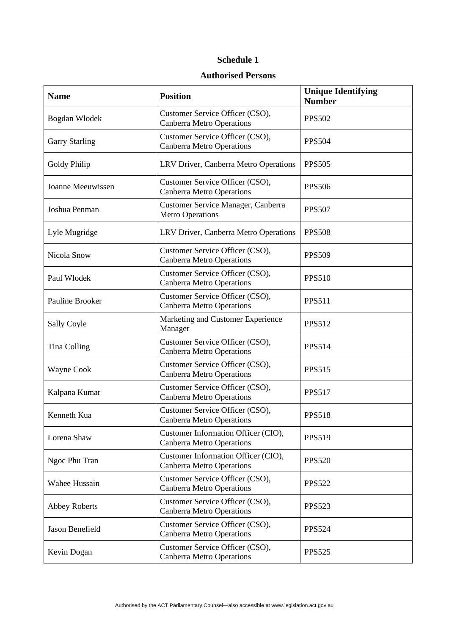### **Schedule 1**

#### **Authorised Persons**

| <b>Name</b>           | <b>Position</b>                                                         | <b>Unique Identifying</b><br><b>Number</b> |
|-----------------------|-------------------------------------------------------------------------|--------------------------------------------|
| Bogdan Wlodek         | Customer Service Officer (CSO),<br><b>Canberra Metro Operations</b>     | <b>PPS502</b>                              |
| <b>Garry Starling</b> | Customer Service Officer (CSO),<br><b>Canberra Metro Operations</b>     | <b>PPS504</b>                              |
| Goldy Philip          | LRV Driver, Canberra Metro Operations                                   | <b>PPS505</b>                              |
| Joanne Meeuwissen     | Customer Service Officer (CSO),<br><b>Canberra Metro Operations</b>     | <b>PPS506</b>                              |
| Joshua Penman         | Customer Service Manager, Canberra<br><b>Metro Operations</b>           | <b>PPS507</b>                              |
| Lyle Mugridge         | LRV Driver, Canberra Metro Operations                                   | <b>PPS508</b>                              |
| Nicola Snow           | Customer Service Officer (CSO),<br><b>Canberra Metro Operations</b>     | <b>PPS509</b>                              |
| Paul Wlodek           | Customer Service Officer (CSO),<br><b>Canberra Metro Operations</b>     | <b>PPS510</b>                              |
| Pauline Brooker       | Customer Service Officer (CSO),<br><b>Canberra Metro Operations</b>     | <b>PPS511</b>                              |
| Sally Coyle           | Marketing and Customer Experience<br>Manager                            | <b>PPS512</b>                              |
| Tina Colling          | Customer Service Officer (CSO),<br><b>Canberra Metro Operations</b>     | <b>PPS514</b>                              |
| Wayne Cook            | Customer Service Officer (CSO),<br><b>Canberra Metro Operations</b>     | <b>PPS515</b>                              |
| Kalpana Kumar         | Customer Service Officer (CSO),<br><b>Canberra Metro Operations</b>     | <b>PPS517</b>                              |
| Kenneth Kua           | Customer Service Officer (CSO),<br><b>Canberra Metro Operations</b>     | <b>PPS518</b>                              |
| Lorena Shaw           | Customer Information Officer (CIO),<br><b>Canberra Metro Operations</b> | <b>PPS519</b>                              |
| Ngoc Phu Tran         | Customer Information Officer (CIO),<br><b>Canberra Metro Operations</b> | <b>PPS520</b>                              |
| Wahee Hussain         | Customer Service Officer (CSO),<br><b>Canberra Metro Operations</b>     | <b>PPS522</b>                              |
| <b>Abbey Roberts</b>  | Customer Service Officer (CSO),<br><b>Canberra Metro Operations</b>     | <b>PPS523</b>                              |
| Jason Benefield       | Customer Service Officer (CSO),<br><b>Canberra Metro Operations</b>     | <b>PPS524</b>                              |
| Kevin Dogan           | Customer Service Officer (CSO),<br><b>Canberra Metro Operations</b>     | <b>PPS525</b>                              |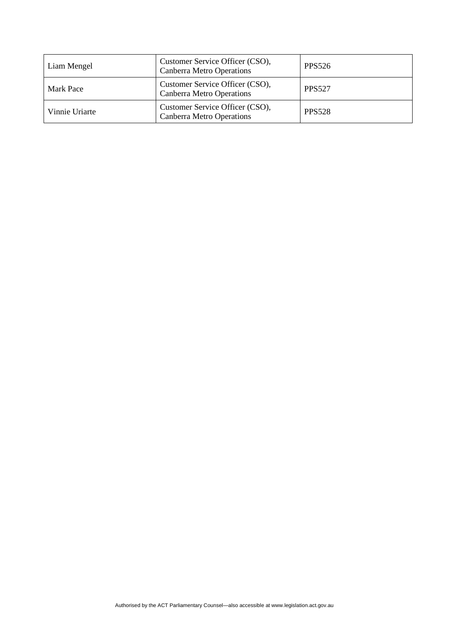| Liam Mengel    | Customer Service Officer (CSO),<br><b>Canberra Metro Operations</b> | PPS526        |
|----------------|---------------------------------------------------------------------|---------------|
| Mark Pace      | Customer Service Officer (CSO),<br><b>Canberra Metro Operations</b> | <b>PPS527</b> |
| Vinnie Uriarte | Customer Service Officer (CSO),<br><b>Canberra Metro Operations</b> | <b>PPS528</b> |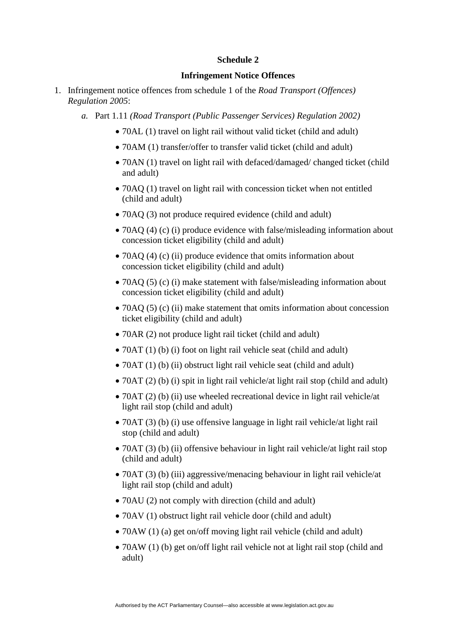#### **Schedule 2**

#### **Infringement Notice Offences**

- 1. Infringement notice offences from schedule 1 of the *Road Transport (Offences) Regulation 2005*:
	- *a.* Part 1.11 *(Road Transport (Public Passenger Services) Regulation 2002)* 
		- 70AL (1) travel on light rail without valid ticket (child and adult)
		- 70AM (1) transfer/offer to transfer valid ticket (child and adult)
		- 70AN (1) travel on light rail with defaced/damaged/ changed ticket (child and adult)
		- 70AQ (1) travel on light rail with concession ticket when not entitled (child and adult)
		- 70AQ (3) not produce required evidence (child and adult)
		- 70AQ (4) (c) (i) produce evidence with false/misleading information about concession ticket eligibility (child and adult)
		- 70AQ (4) (c) (ii) produce evidence that omits information about concession ticket eligibility (child and adult)
		- 70AQ (5) (c) (i) make statement with false/misleading information about concession ticket eligibility (child and adult)
		- 70AQ (5) (c) (ii) make statement that omits information about concession ticket eligibility (child and adult)
		- 70AR (2) not produce light rail ticket (child and adult)
		- 70AT (1) (b) (i) foot on light rail vehicle seat (child and adult)
		- 70AT (1) (b) (ii) obstruct light rail vehicle seat (child and adult)
		- 70AT (2) (b) (i) spit in light rail vehicle/at light rail stop (child and adult)
		- 70AT (2) (b) (ii) use wheeled recreational device in light rail vehicle/at light rail stop (child and adult)
		- 70AT (3) (b) (i) use offensive language in light rail vehicle/at light rail stop (child and adult)
		- 70AT (3) (b) (ii) offensive behaviour in light rail vehicle/at light rail stop (child and adult)
		- 70AT (3) (b) (iii) aggressive/menacing behaviour in light rail vehicle/at light rail stop (child and adult)
		- 70AU (2) not comply with direction (child and adult)
		- 70 AV (1) obstruct light rail vehicle door (child and adult)
		- 70AW (1) (a) get on/off moving light rail vehicle (child and adult)
		- 70AW (1) (b) get on/off light rail vehicle not at light rail stop (child and adult)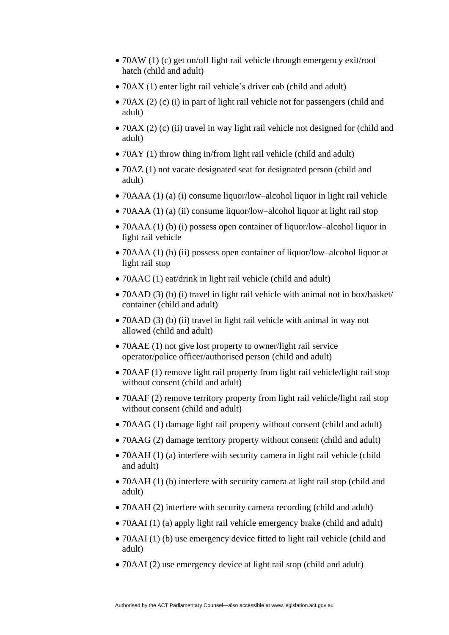- 70AW (1) (c) get on/off light rail vehicle through emergency exit/roof hatch (child and adult)
- 70AX (1) enter light rail vehicle's driver cab (child and adult)
- 70AX (2) (c) (i) in part of light rail vehicle not for passengers (child and adult)
- 70AX (2) (c) (ii) travel in way light rail vehicle not designed for (child and adult)
- 70AY (1) throw thing in/from light rail vehicle (child and adult)
- 70AZ (1) not vacate designated seat for designated person (child and adult)
- 70AAA (1) (a) (i) consume liquor/low–alcohol liquor in light rail vehicle
- 70AAA (1) (a) (ii) consume liquor/low–alcohol liquor at light rail stop
- 70AAA (1) (b) (i) possess open container of liquor/low–alcohol liquor in light rail vehicle
- 70AAA (1) (b) (ii) possess open container of liquor/low–alcohol liquor at light rail stop
- 70AAC (1) eat/drink in light rail vehicle (child and adult)
- 70AAD (3) (b) (i) travel in light rail vehicle with animal not in box/basket/ container (child and adult)
- 70AAD (3) (b) (ii) travel in light rail vehicle with animal in way not allowed (child and adult)
- 70 AAE (1) not give lost property to owner/light rail service operator/police officer/authorised person (child and adult)
- 70AAF (1) remove light rail property from light rail vehicle/light rail stop without consent (child and adult)
- 70AAF (2) remove territory property from light rail vehicle/light rail stop without consent (child and adult)
- 70AAG (1) damage light rail property without consent (child and adult)
- 70AAG (2) damage territory property without consent (child and adult)
- 70AAH (1) (a) interfere with security camera in light rail vehicle (child and adult)
- 70AAH (1) (b) interfere with security camera at light rail stop (child and adult)
- 70AAH (2) interfere with security camera recording (child and adult)
- 70AAI (1) (a) apply light rail vehicle emergency brake (child and adult)
- 70AAI (1) (b) use emergency device fitted to light rail vehicle (child and adult)
- 70AAI (2) use emergency device at light rail stop (child and adult)